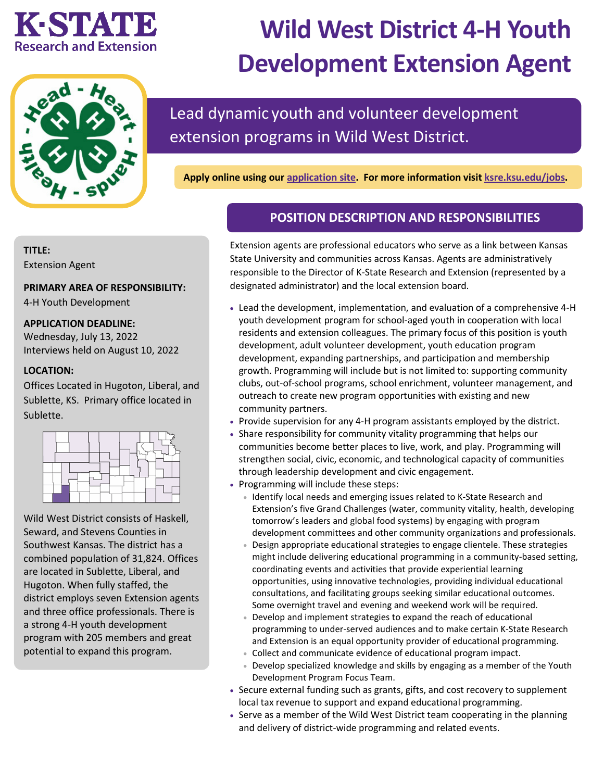# KESTATIE **Research and Extension**



# **Wild West District 4-H Youth Development Extension Agent**

Lead dynamic youth and volunteer development extension programs in Wild West District.

**Apply online using our [application site.](https://careers.pageuppeople.com/742/cw/en-us/job/513252/wild-west-district-4h-youth-development-extension-agent) For more information visit [ksre.ksu.edu/jobs.](https://www.ksre.k-state.edu/jobs/current_openings/index.html)** 

# **TITLE:**

Extension Agent

# **PRIMARY AREA OF RESPONSIBILITY:**

4-H Youth Development

# **APPLICATION DEADLINE:**

Wednesday, July 13, 2022 Interviews held on August 10, 2022

# **LOCATION:**

Offices Located in Hugoton, Liberal, and Sublette, KS. Primary office located in Sublette.



Wild West District consists of Haskell, Seward, and Stevens Counties in Southwest Kansas. The district has a combined population of 31,824. Offices are located in Sublette, Liberal, and Hugoton. When fully staffed, the district employs seven Extension agents and three office professionals. There is a strong 4-H youth development program with 205 members and great potential to expand this program.

# **POSITION DESCRIPTION AND RESPONSIBILITIES**

Extension agents are professional educators who serve as a link between Kansas State University and communities across Kansas. Agents are administratively responsible to the Director of K-State Research and Extension (represented by a designated administrator) and the local extension board.

- Lead the development, implementation, and evaluation of a comprehensive 4-H youth development program for school-aged youth in cooperation with local residents and extension colleagues. The primary focus of this position is youth development, adult volunteer development, youth education program development, expanding partnerships, and participation and membership growth. Programming will include but is not limited to: supporting community clubs, out-of-school programs, school enrichment, volunteer management, and outreach to create new program opportunities with existing and new community partners.
- Provide supervision for any 4-H program assistants employed by the district.
- Share responsibility for community vitality programming that helps our communities become better places to live, work, and play. Programming will strengthen social, civic, economic, and technological capacity of communities through leadership development and civic engagement.
- Programming will include these steps:
	- Identify local needs and emerging issues related to K-State Research and Extension's five Grand Challenges (water, community vitality, health, developing tomorrow's leaders and global food systems) by engaging with program development committees and other community organizations and professionals.
	- Design appropriate educational strategies to engage clientele. These strategies might include delivering educational programming in a community-based setting, coordinating events and activities that provide experiential learning opportunities, using innovative technologies, providing individual educational consultations, and facilitating groups seeking similar educational outcomes. Some overnight travel and evening and weekend work will be required.
	- Develop and implement strategies to expand the reach of educational programming to under-served audiences and to make certain K-State Research and Extension is an equal opportunity provider of educational programming.
	- Collect and communicate evidence of educational program impact.
	- Develop specialized knowledge and skills by engaging as a member of the Youth Development Program Focus Team.
- Secure external funding such as grants, gifts, and cost recovery to supplement local tax revenue to support and expand educational programming.
- Serve as a member of the Wild West District team cooperating in the planning and delivery of district-wide programming and related events.